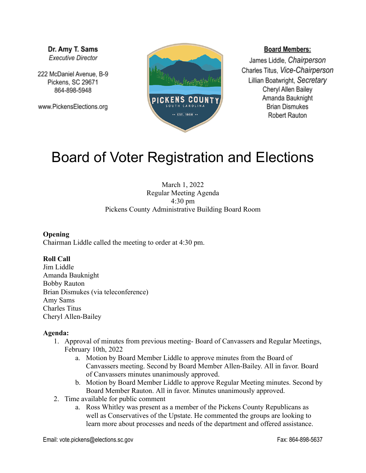Dr. Amy T. Sams **Executive Director** 

222 McDaniel Avenue, B-9 Pickens, SC 29671 864-898-5948

www.PickensElections.org



## **Board Members:**

James Liddle, Chairperson Charles Titus, Vice-Chairperson Lillian Boatwright, Secretary Cheryl Allen Bailey Amanda Bauknight **Brian Dismukes** Robert Rauton

# Board of Voter Registration and Elections

March 1, 2022 Regular Meeting Agenda 4:30 pm Pickens County Administrative Building Board Room

#### **Opening**

Chairman Liddle called the meeting to order at 4:30 pm.

## **Roll Call**

Jim Liddle Amanda Bauknight Bobby Rauton Brian Dismukes (via teleconference) Amy Sams Charles Titus Cheryl Allen-Bailey

#### **Agenda:**

- 1. Approval of minutes from previous meeting- Board of Canvassers and Regular Meetings, February 10th, 2022
	- a. Motion by Board Member Liddle to approve minutes from the Board of Canvassers meeting. Second by Board Member Allen-Bailey. All in favor. Board of Canvassers minutes unanimously approved.
	- b. Motion by Board Member Liddle to approve Regular Meeting minutes. Second by Board Member Rauton. All in favor. Minutes unanimously approved.
- 2. Time available for public comment
	- a. Ross Whitley was present as a member of the Pickens County Republicans as well as Conservatives of the Upstate. He commented the groups are looking to learn more about processes and needs of the department and offered assistance.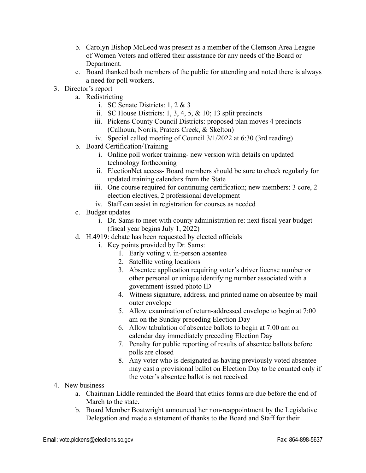- b. Carolyn Bishop McLeod was present as a member of the Clemson Area League of Women Voters and offered their assistance for any needs of the Board or Department.
- c. Board thanked both members of the public for attending and noted there is always a need for poll workers.
- 3. Director's report
	- a. Redistricting
		- i. SC Senate Districts: 1, 2 & 3
		- ii. SC House Districts:  $1, 3, 4, 5, \& 10; 13$  split precincts
		- iii. Pickens County Council Districts: proposed plan moves 4 precincts (Calhoun, Norris, Praters Creek, & Skelton)
		- iv. Special called meeting of Council 3/1/2022 at 6:30 (3rd reading)
	- b. Board Certification/Training
		- i. Online poll worker training- new version with details on updated technology forthcoming
		- ii. ElectionNet access- Board members should be sure to check regularly for updated training calendars from the State
		- iii. One course required for continuing certification; new members: 3 core, 2 election electives, 2 professional development
		- iv. Staff can assist in registration for courses as needed
	- c. Budget updates
		- i. Dr. Sams to meet with county administration re: next fiscal year budget (fiscal year begins July 1, 2022)
	- d. H.4919: debate has been requested by elected officials
		- i. Key points provided by Dr. Sams:
			- 1. Early voting v. in-person absentee
			- 2. Satellite voting locations
			- 3. Absentee application requiring voter's driver license number or other personal or unique identifying number associated with a government-issued photo ID
			- 4. Witness signature, address, and printed name on absentee by mail outer envelope
			- 5. Allow examination of return-addressed envelope to begin at 7:00 am on the Sunday preceding Election Day
			- 6. Allow tabulation of absentee ballots to begin at 7:00 am on calendar day immediately preceding Election Day
			- 7. Penalty for public reporting of results of absentee ballots before polls are closed
			- 8. Any voter who is designated as having previously voted absentee may cast a provisional ballot on Election Day to be counted only if the voter's absentee ballot is not received
- 4. New business
	- a. Chairman Liddle reminded the Board that ethics forms are due before the end of March to the state.
	- b. Board Member Boatwright announced her non-reappointment by the Legislative Delegation and made a statement of thanks to the Board and Staff for their